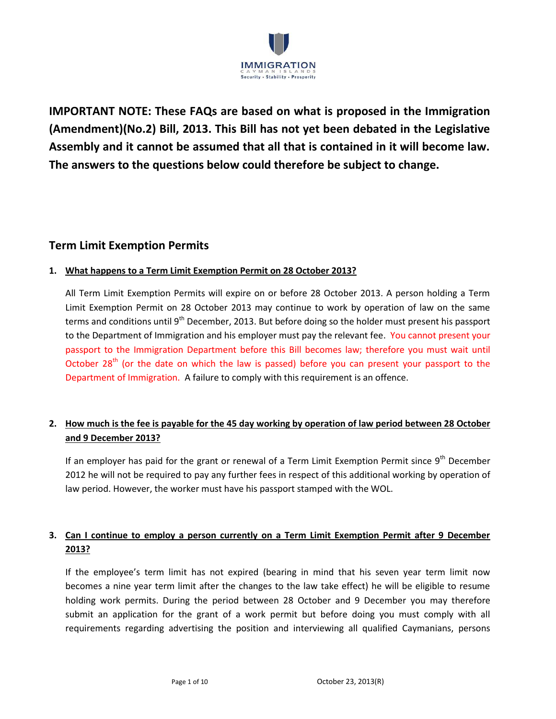

**IMPORTANT NOTE: These FAQs are based on what is proposed in the Immigration (Amendment)(No.2) Bill, 2013. This Bill has not yet been debated in the Legislative Assembly and it cannot be assumed that all that is contained in it will become law. The answers to the questions below could therefore be subject to change.** 

## **Term Limit Exemption Permits**

### **1. What happens to a Term Limit Exemption Permit on 28 October 2013?**

All Term Limit Exemption Permits will expire on or before 28 October 2013. A person holding a Term Limit Exemption Permit on 28 October 2013 may continue to work by operation of law on the same terms and conditions until 9<sup>th</sup> December, 2013. But before doing so the holder must present his passport to the Department of Immigration and his employer must pay the relevant fee. You cannot present your passport to the Immigration Department before this Bill becomes law; therefore you must wait until October 28<sup>th</sup> (or the date on which the law is passed) before you can present your passport to the Department of Immigration. A failure to comply with this requirement is an offence.

# **2. How much is the fee is payable for the 45 day working by operation of law period between 28 October and 9 December 2013?**

If an employer has paid for the grant or renewal of a Term Limit Exemption Permit since 9<sup>th</sup> December 2012 he will not be required to pay any further fees in respect of this additional working by operation of law period. However, the worker must have his passport stamped with the WOL.

## **3. Can I continue to employ a person currently on a Term Limit Exemption Permit after 9 December 2013?**

If the employee's term limit has not expired (bearing in mind that his seven year term limit now becomes a nine year term limit after the changes to the law take effect) he will be eligible to resume holding work permits. During the period between 28 October and 9 December you may therefore submit an application for the grant of a work permit but before doing you must comply with all requirements regarding advertising the position and interviewing all qualified Caymanians, persons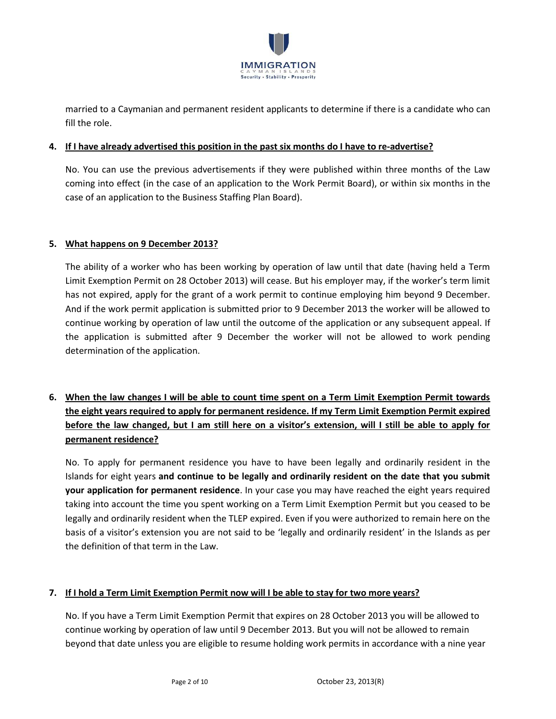

married to a Caymanian and permanent resident applicants to determine if there is a candidate who can fill the role.

#### **4. If I have already advertised this position in the past six months do I have to re-advertise?**

No. You can use the previous advertisements if they were published within three months of the Law coming into effect (in the case of an application to the Work Permit Board), or within six months in the case of an application to the Business Staffing Plan Board).

#### **5. What happens on 9 December 2013?**

The ability of a worker who has been working by operation of law until that date (having held a Term Limit Exemption Permit on 28 October 2013) will cease. But his employer may, if the worker's term limit has not expired, apply for the grant of a work permit to continue employing him beyond 9 December. And if the work permit application is submitted prior to 9 December 2013 the worker will be allowed to continue working by operation of law until the outcome of the application or any subsequent appeal. If the application is submitted after 9 December the worker will not be allowed to work pending determination of the application.

# **6. When the law changes I will be able to count time spent on a Term Limit Exemption Permit towards the eight years required to apply for permanent residence. If my Term Limit Exemption Permit expired before the law changed, but I am still here on a visitor's extension, will I still be able to apply for permanent residence?**

No. To apply for permanent residence you have to have been legally and ordinarily resident in the Islands for eight years **and continue to be legally and ordinarily resident on the date that you submit your application for permanent residence**. In your case you may have reached the eight years required taking into account the time you spent working on a Term Limit Exemption Permit but you ceased to be legally and ordinarily resident when the TLEP expired. Even if you were authorized to remain here on the basis of a visitor's extension you are not said to be 'legally and ordinarily resident' in the Islands as per the definition of that term in the Law.

#### **7. If I hold a Term Limit Exemption Permit now will I be able to stay for two more years?**

No. If you have a Term Limit Exemption Permit that expires on 28 October 2013 you will be allowed to continue working by operation of law until 9 December 2013. But you will not be allowed to remain beyond that date unless you are eligible to resume holding work permits in accordance with a nine year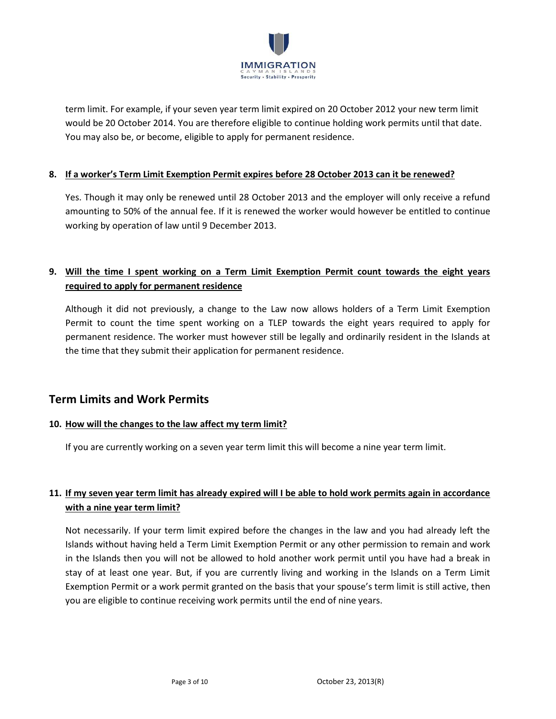

term limit. For example, if your seven year term limit expired on 20 October 2012 your new term limit would be 20 October 2014. You are therefore eligible to continue holding work permits until that date. You may also be, or become, eligible to apply for permanent residence.

### **8. If a worker's Term Limit Exemption Permit expires before 28 October 2013 can it be renewed?**

Yes. Though it may only be renewed until 28 October 2013 and the employer will only receive a refund amounting to 50% of the annual fee. If it is renewed the worker would however be entitled to continue working by operation of law until 9 December 2013.

### **9. Will the time I spent working on a Term Limit Exemption Permit count towards the eight years required to apply for permanent residence**

Although it did not previously, a change to the Law now allows holders of a Term Limit Exemption Permit to count the time spent working on a TLEP towards the eight years required to apply for permanent residence. The worker must however still be legally and ordinarily resident in the Islands at the time that they submit their application for permanent residence.

# **Term Limits and Work Permits**

#### **10. How will the changes to the law affect my term limit?**

If you are currently working on a seven year term limit this will become a nine year term limit.

## **11. If my seven year term limit has already expired will I be able to hold work permits again in accordance with a nine year term limit?**

Not necessarily. If your term limit expired before the changes in the law and you had already left the Islands without having held a Term Limit Exemption Permit or any other permission to remain and work in the Islands then you will not be allowed to hold another work permit until you have had a break in stay of at least one year. But, if you are currently living and working in the Islands on a Term Limit Exemption Permit or a work permit granted on the basis that your spouse's term limit is still active, then you are eligible to continue receiving work permits until the end of nine years.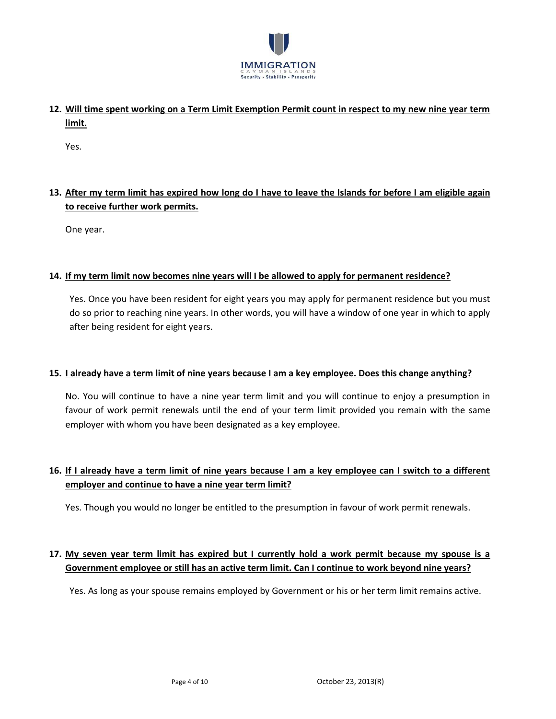

**12. Will time spent working on a Term Limit Exemption Permit count in respect to my new nine year term limit.**

Yes.

# **13. After my term limit has expired how long do I have to leave the Islands for before I am eligible again to receive further work permits.**

One year.

#### **14. If my term limit now becomes nine years will I be allowed to apply for permanent residence?**

Yes. Once you have been resident for eight years you may apply for permanent residence but you must do so prior to reaching nine years. In other words, you will have a window of one year in which to apply after being resident for eight years.

#### **15. I already have a term limit of nine years because I am a key employee. Does this change anything?**

No. You will continue to have a nine year term limit and you will continue to enjoy a presumption in favour of work permit renewals until the end of your term limit provided you remain with the same employer with whom you have been designated as a key employee.

### **16. If I already have a term limit of nine years because I am a key employee can I switch to a different employer and continue to have a nine year term limit?**

Yes. Though you would no longer be entitled to the presumption in favour of work permit renewals.

## **17. My seven year term limit has expired but I currently hold a work permit because my spouse is a Government employee or still has an active term limit. Can I continue to work beyond nine years?**

Yes. As long as your spouse remains employed by Government or his or her term limit remains active.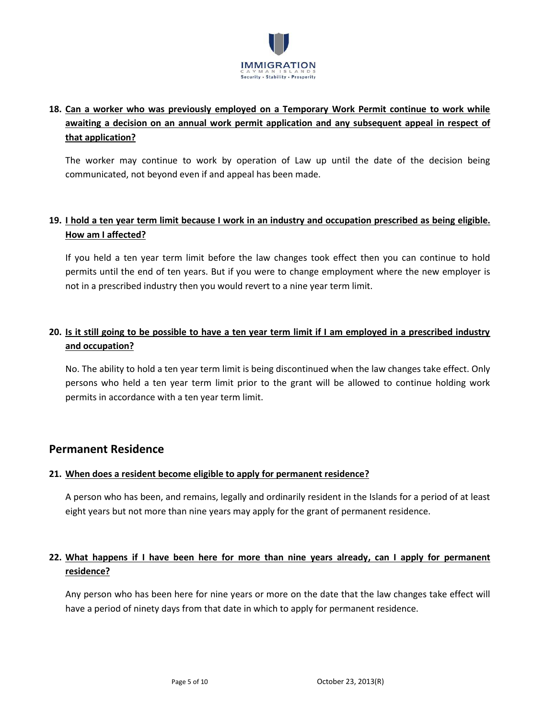

# **18. Can a worker who was previously employed on a Temporary Work Permit continue to work while awaiting a decision on an annual work permit application and any subsequent appeal in respect of that application?**

The worker may continue to work by operation of Law up until the date of the decision being communicated, not beyond even if and appeal has been made.

### **19. I hold a ten year term limit because I work in an industry and occupation prescribed as being eligible. How am I affected?**

If you held a ten year term limit before the law changes took effect then you can continue to hold permits until the end of ten years. But if you were to change employment where the new employer is not in a prescribed industry then you would revert to a nine year term limit.

# **20. Is it still going to be possible to have a ten year term limit if I am employed in a prescribed industry and occupation?**

No. The ability to hold a ten year term limit is being discontinued when the law changes take effect. Only persons who held a ten year term limit prior to the grant will be allowed to continue holding work permits in accordance with a ten year term limit.

## **Permanent Residence**

### **21. When does a resident become eligible to apply for permanent residence?**

A person who has been, and remains, legally and ordinarily resident in the Islands for a period of at least eight years but not more than nine years may apply for the grant of permanent residence.

# **22. What happens if I have been here for more than nine years already, can I apply for permanent residence?**

Any person who has been here for nine years or more on the date that the law changes take effect will have a period of ninety days from that date in which to apply for permanent residence.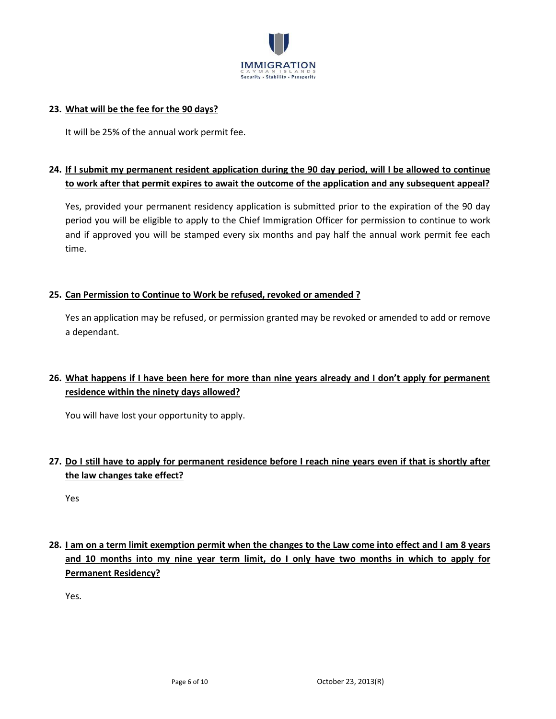

#### **23. What will be the fee for the 90 days?**

It will be 25% of the annual work permit fee.

### **24. If I submit my permanent resident application during the 90 day period, will I be allowed to continue to work after that permit expires to await the outcome of the application and any subsequent appeal?**

Yes, provided your permanent residency application is submitted prior to the expiration of the 90 day period you will be eligible to apply to the Chief Immigration Officer for permission to continue to work and if approved you will be stamped every six months and pay half the annual work permit fee each time.

#### **25. Can Permission to Continue to Work be refused, revoked or amended ?**

Yes an application may be refused, or permission granted may be revoked or amended to add or remove a dependant.

## **26. What happens if I have been here for more than nine years already and I don't apply for permanent residence within the ninety days allowed?**

You will have lost your opportunity to apply.

# **27. Do I still have to apply for permanent residence before I reach nine years even if that is shortly after the law changes take effect?**

Yes

# **28. I am on a term limit exemption permit when the changes to the Law come into effect and I am 8 years and 10 months into my nine year term limit, do I only have two months in which to apply for Permanent Residency?**

Yes.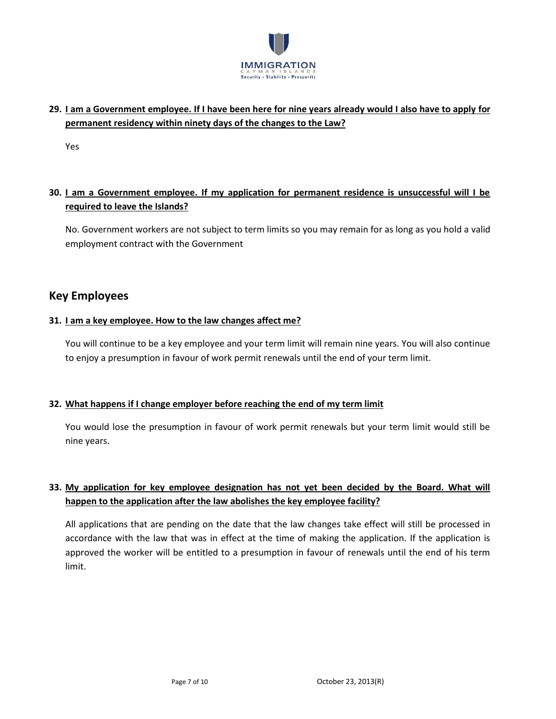

### **29. I am a Government employee. If I have been here for nine years already would I also have to apply for permanent residency within ninety days of the changes to the Law?**

Yes

## **30. I am a Government employee. If my application for permanent residence is unsuccessful will I be required to leave the Islands?**

No. Government workers are not subject to term limits so you may remain for as long as you hold a valid employment contract with the Government

# **Key Employees**

### **31. I am a key employee. How to the law changes affect me?**

You will continue to be a key employee and your term limit will remain nine years. You will also continue to enjoy a presumption in favour of work permit renewals until the end of your term limit.

### **32. What happens if I change employer before reaching the end of my term limit**

You would lose the presumption in favour of work permit renewals but your term limit would still be nine years.

# **33. My application for key employee designation has not yet been decided by the Board. What will happen to the application after the law abolishes the key employee facility?**

All applications that are pending on the date that the law changes take effect will still be processed in accordance with the law that was in effect at the time of making the application. If the application is approved the worker will be entitled to a presumption in favour of renewals until the end of his term limit.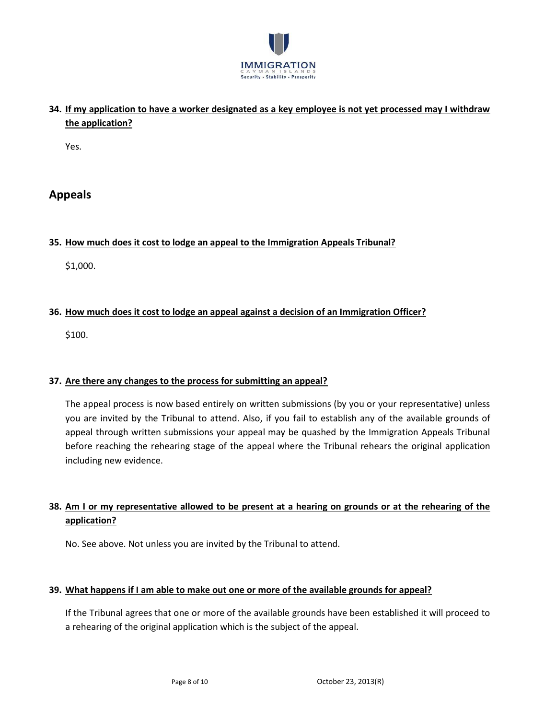

**34. If my application to have a worker designated as a key employee is not yet processed may I withdraw the application?**

Yes.

# **Appeals**

### **35. How much does it cost to lodge an appeal to the Immigration Appeals Tribunal?**

\$1,000.

### **36. How much does it cost to lodge an appeal against a decision of an Immigration Officer?**

\$100.

#### **37. Are there any changes to the process for submitting an appeal?**

The appeal process is now based entirely on written submissions (by you or your representative) unless you are invited by the Tribunal to attend. Also, if you fail to establish any of the available grounds of appeal through written submissions your appeal may be quashed by the Immigration Appeals Tribunal before reaching the rehearing stage of the appeal where the Tribunal rehears the original application including new evidence.

## **38. Am I or my representative allowed to be present at a hearing on grounds or at the rehearing of the application?**

No. See above. Not unless you are invited by the Tribunal to attend.

#### **39. What happens if I am able to make out one or more of the available grounds for appeal?**

If the Tribunal agrees that one or more of the available grounds have been established it will proceed to a rehearing of the original application which is the subject of the appeal.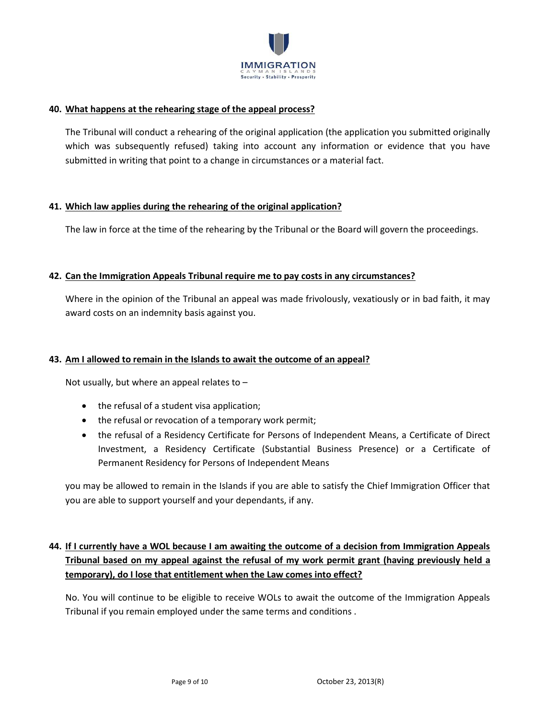

#### **40. What happens at the rehearing stage of the appeal process?**

The Tribunal will conduct a rehearing of the original application (the application you submitted originally which was subsequently refused) taking into account any information or evidence that you have submitted in writing that point to a change in circumstances or a material fact.

#### **41. Which law applies during the rehearing of the original application?**

The law in force at the time of the rehearing by the Tribunal or the Board will govern the proceedings.

#### **42. Can the Immigration Appeals Tribunal require me to pay costs in any circumstances?**

Where in the opinion of the Tribunal an appeal was made frivolously, vexatiously or in bad faith, it may award costs on an indemnity basis against you.

#### **43. Am I allowed to remain in the Islands to await the outcome of an appeal?**

Not usually, but where an appeal relates to –

- the refusal of a student visa application;
- the refusal or revocation of a temporary work permit;
- the refusal of a Residency Certificate for Persons of Independent Means, a Certificate of Direct Investment, a Residency Certificate (Substantial Business Presence) or a Certificate of Permanent Residency for Persons of Independent Means

you may be allowed to remain in the Islands if you are able to satisfy the Chief Immigration Officer that you are able to support yourself and your dependants, if any.

# **44. If I currently have a WOL because I am awaiting the outcome of a decision from Immigration Appeals Tribunal based on my appeal against the refusal of my work permit grant (having previously held a temporary), do I lose that entitlement when the Law comes into effect?**

No. You will continue to be eligible to receive WOLs to await the outcome of the Immigration Appeals Tribunal if you remain employed under the same terms and conditions .